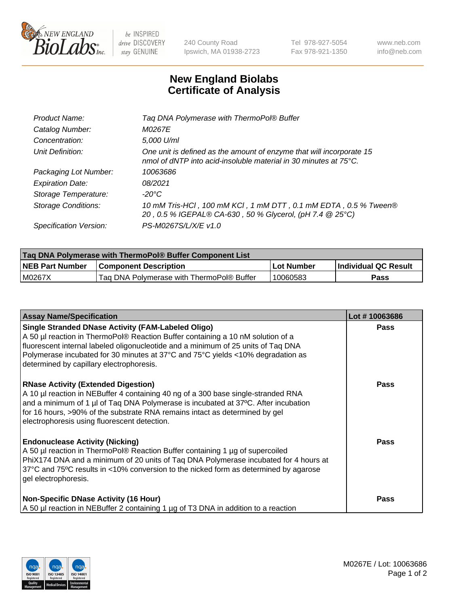

 $be$  INSPIRED drive DISCOVERY stay GENUINE

240 County Road Ipswich, MA 01938-2723 Tel 978-927-5054 Fax 978-921-1350 www.neb.com info@neb.com

## **New England Biolabs Certificate of Analysis**

| Product Name:              | Tag DNA Polymerase with ThermoPol® Buffer                                                                                                |
|----------------------------|------------------------------------------------------------------------------------------------------------------------------------------|
| Catalog Number:            | M0267E                                                                                                                                   |
| Concentration:             | 5,000 U/ml                                                                                                                               |
| Unit Definition:           | One unit is defined as the amount of enzyme that will incorporate 15<br>nmol of dNTP into acid-insoluble material in 30 minutes at 75°C. |
| Packaging Lot Number:      | 10063686                                                                                                                                 |
| <b>Expiration Date:</b>    | 08/2021                                                                                                                                  |
| Storage Temperature:       | $-20^{\circ}$ C                                                                                                                          |
| <b>Storage Conditions:</b> | 10 mM Tris-HCl, 100 mM KCl, 1 mM DTT, 0.1 mM EDTA, 0.5 % Tween®<br>20, 0.5 % IGEPAL® CA-630, 50 % Glycerol, (pH 7.4 @ 25°C)              |
| Specification Version:     | PS-M0267S/L/X/E v1.0                                                                                                                     |

| Taq DNA Polymerase with ThermoPol® Buffer Component List |                                           |            |                      |  |
|----------------------------------------------------------|-------------------------------------------|------------|----------------------|--|
| <b>NEB Part Number</b>                                   | <b>Component Description</b>              | Lot Number | Individual QC Result |  |
| M0267X                                                   | Tag DNA Polymerase with ThermoPol® Buffer | 10060583   | Pass                 |  |

| <b>Assay Name/Specification</b>                                                                                                                                                                                                                                                                                                                                   | Lot #10063686 |
|-------------------------------------------------------------------------------------------------------------------------------------------------------------------------------------------------------------------------------------------------------------------------------------------------------------------------------------------------------------------|---------------|
| <b>Single Stranded DNase Activity (FAM-Labeled Oligo)</b><br>A 50 µl reaction in ThermoPol® Reaction Buffer containing a 10 nM solution of a<br>fluorescent internal labeled oligonucleotide and a minimum of 25 units of Taq DNA<br>Polymerase incubated for 30 minutes at 37°C and 75°C yields <10% degradation as<br>determined by capillary electrophoresis.  | <b>Pass</b>   |
| <b>RNase Activity (Extended Digestion)</b><br>A 10 µl reaction in NEBuffer 4 containing 40 ng of a 300 base single-stranded RNA<br>and a minimum of 1 $\mu$ of Taq DNA Polymerase is incubated at 37 $\degree$ C. After incubation<br>for 16 hours, >90% of the substrate RNA remains intact as determined by gel<br>electrophoresis using fluorescent detection. | <b>Pass</b>   |
| <b>Endonuclease Activity (Nicking)</b><br>A 50 µl reaction in ThermoPol® Reaction Buffer containing 1 µg of supercoiled<br>PhiX174 DNA and a minimum of 20 units of Taq DNA Polymerase incubated for 4 hours at<br>37°C and 75°C results in <10% conversion to the nicked form as determined by agarose<br>gel electrophoresis.                                   | <b>Pass</b>   |
| <b>Non-Specific DNase Activity (16 Hour)</b><br>A 50 µl reaction in NEBuffer 2 containing 1 µg of T3 DNA in addition to a reaction                                                                                                                                                                                                                                | <b>Pass</b>   |